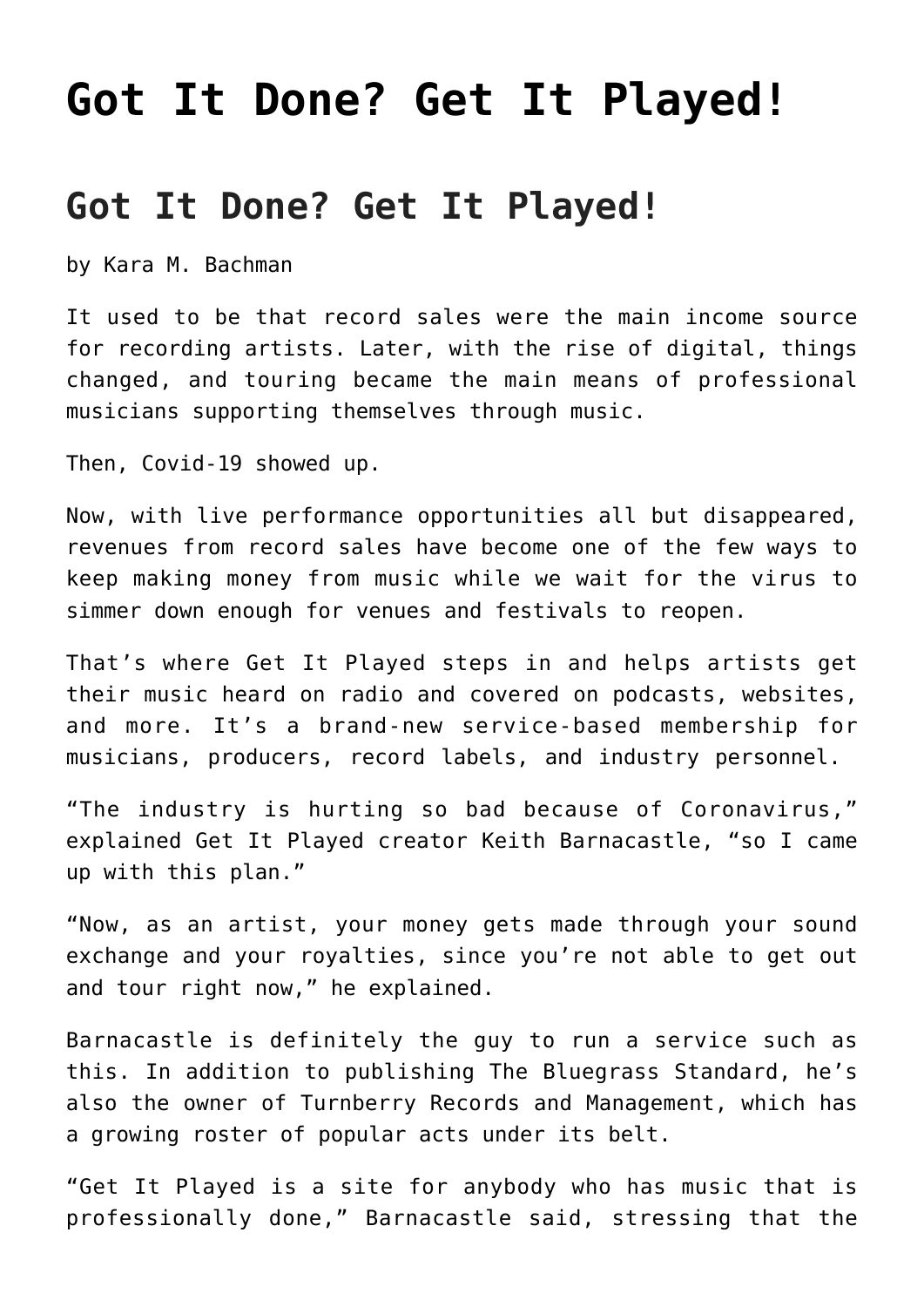## **[Got It Done? Get It Played!](https://thebluegrassstandard.com/got-it-done-get-it-played/)**

## **Got It Done? Get It Played!**

by Kara M. Bachman

It used to be that record sales were the main income source for recording artists. Later, with the rise of digital, things changed, and touring became the main means of professional musicians supporting themselves through music.

Then, Covid-19 showed up.

Now, with live performance opportunities all but disappeared, revenues from record sales have become one of the few ways to keep making money from music while we wait for the virus to simmer down enough for venues and festivals to reopen.

That's where Get It Played steps in and helps artists get their music heard on radio and covered on podcasts, websites, and more. It's a brand-new service-based membership for musicians, producers, record labels, and industry personnel.

"The industry is hurting so bad because of Coronavirus," explained Get It Played creator Keith Barnacastle, "so I came up with this plan."

"Now, as an artist, your money gets made through your sound exchange and your royalties, since you're not able to get out and tour right now," he explained.

Barnacastle is definitely the guy to run a service such as this. In addition to publishing The Bluegrass Standard, he's also the owner of Turnberry Records and Management, which has a growing roster of popular acts under its belt.

"Get It Played is a site for anybody who has music that is professionally done," Barnacastle said, stressing that the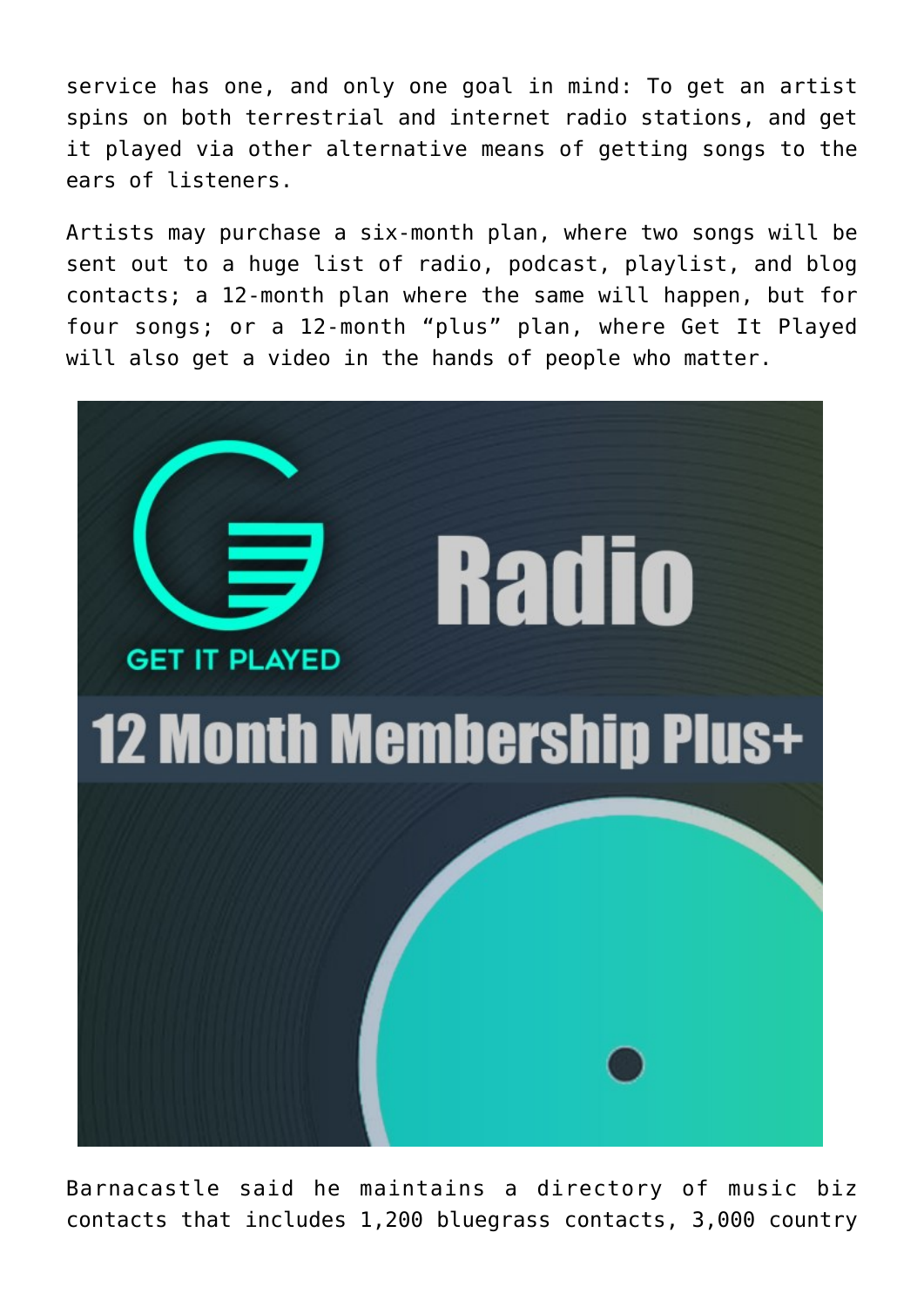service has one, and only one goal in mind: To get an artist spins on both terrestrial and internet radio stations, and get it played via other alternative means of getting songs to the ears of listeners.

Artists may purchase a six-month plan, where two songs will be sent out to a huge list of radio, podcast, playlist, and blog contacts; a 12-month plan where the same will happen, but for four songs; or a 12-month "plus" plan, where Get It Played will also get a video in the hands of people who matter.



Barnacastle said he maintains a directory of music biz contacts that includes 1,200 bluegrass contacts, 3,000 country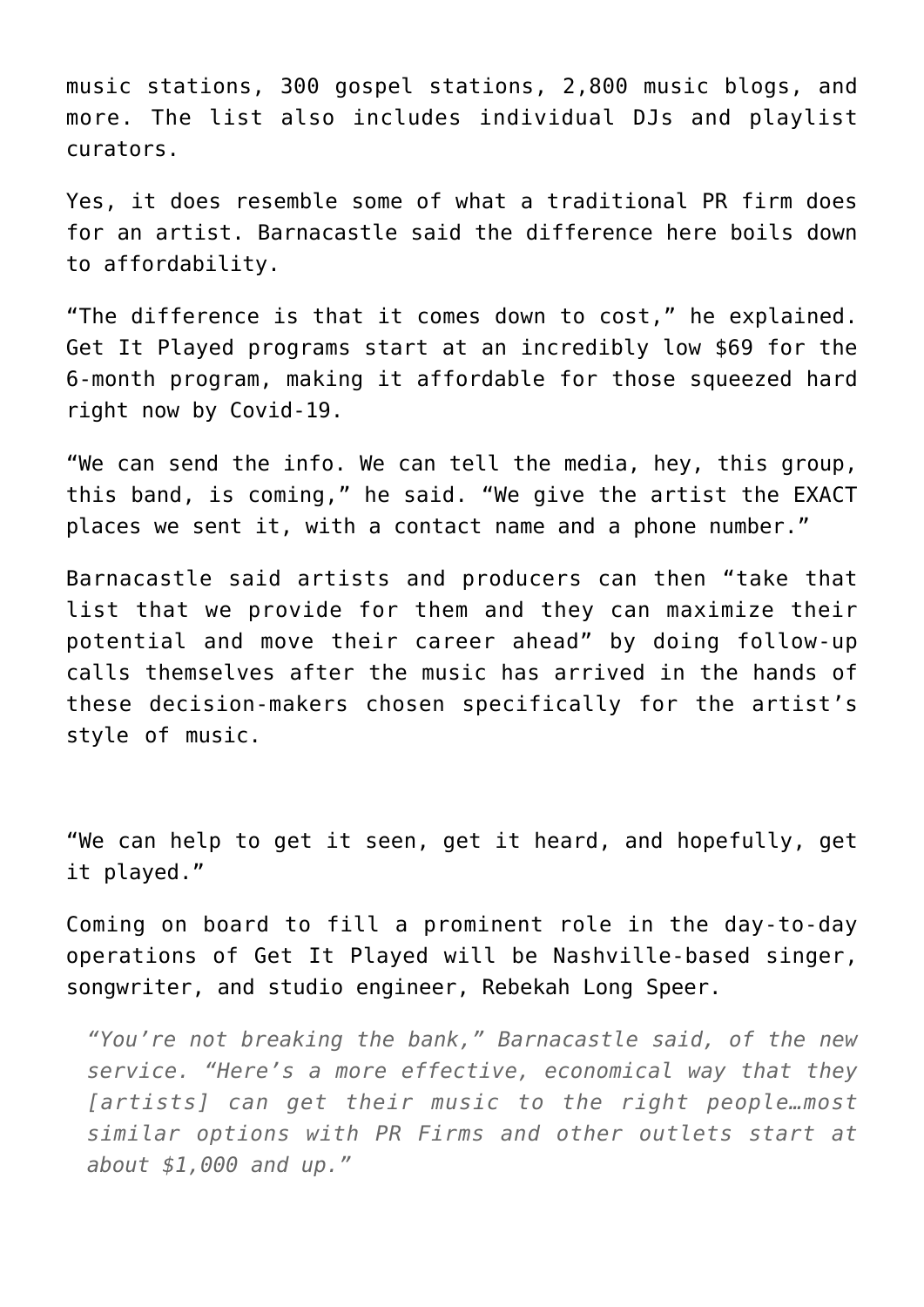music stations, 300 gospel stations, 2,800 music blogs, and more. The list also includes individual DJs and playlist curators.

Yes, it does resemble some of what a traditional PR firm does for an artist. Barnacastle said the difference here boils down to affordability.

"The difference is that it comes down to cost," he explained. Get It Played programs start at an incredibly low \$69 for the 6-month program, making it affordable for those squeezed hard right now by Covid-19.

"We can send the info. We can tell the media, hey, this group, this band, is coming," he said. "We give the artist the EXACT places we sent it, with a contact name and a phone number."

Barnacastle said artists and producers can then "take that list that we provide for them and they can maximize their potential and move their career ahead" by doing follow-up calls themselves after the music has arrived in the hands of these decision-makers chosen specifically for the artist's style of music.

"We can help to get it seen, get it heard, and hopefully, get it played."

Coming on board to fill a prominent role in the day-to-day operations of Get It Played will be Nashville-based singer, songwriter, and studio engineer, Rebekah Long Speer.

*"You're not breaking the bank," Barnacastle said, of the new service. "Here's a more effective, economical way that they [artists] can get their music to the right people…most similar options with PR Firms and other outlets start at about \$1,000 and up."*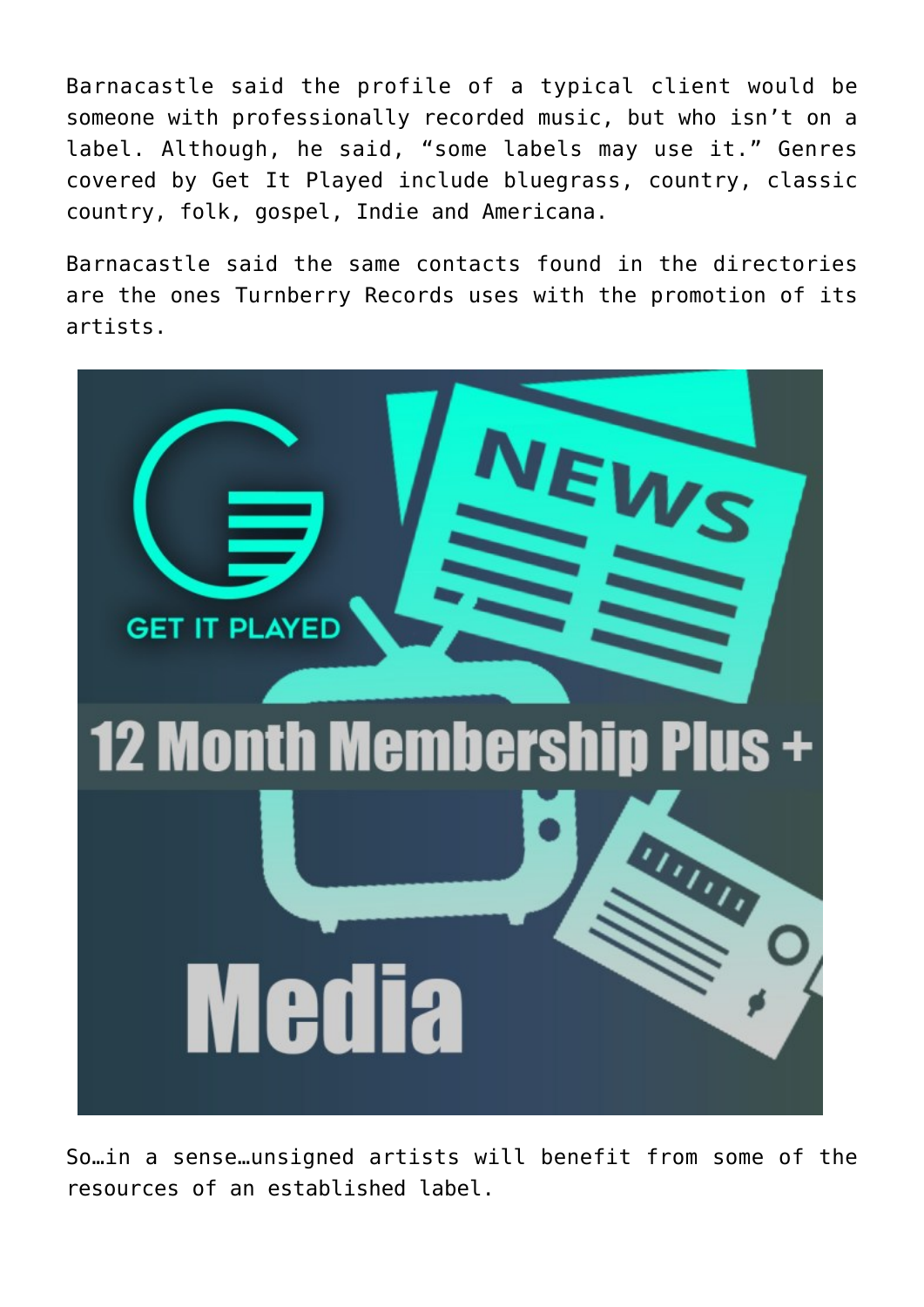Barnacastle said the profile of a typical client would be someone with professionally recorded music, but who isn't on a label. Although, he said, "some labels may use it." Genres covered by Get It Played include bluegrass, country, classic country, folk, gospel, Indie and Americana.

Barnacastle said the same contacts found in the directories are the ones Turnberry Records uses with the promotion of its artists.



So…in a sense…unsigned artists will benefit from some of the resources of an established label.